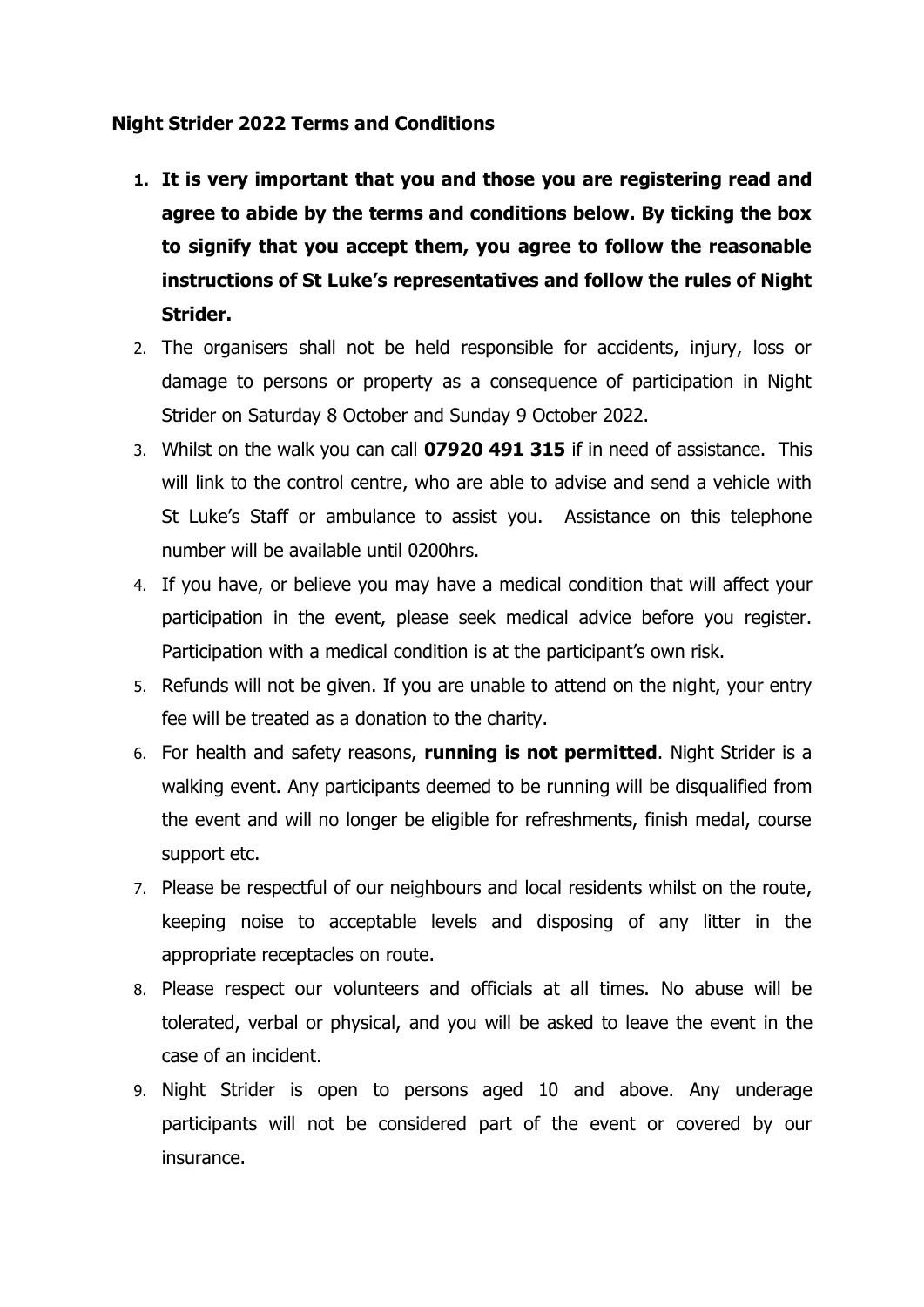## **Night Strider 2022 Terms and Conditions**

- **1. It is very important that you and those you are registering read and agree to abide by the terms and conditions below. By ticking the box to signify that you accept them, you agree to follow the reasonable instructions of St Luke's representatives and follow the rules of Night Strider.**
- 2. The organisers shall not be held responsible for accidents, injury, loss or damage to persons or property as a consequence of participation in Night Strider on Saturday 8 October and Sunday 9 October 2022.
- 3. Whilst on the walk you can call **07920 491 315** if in need of assistance. This will link to the control centre, who are able to advise and send a vehicle with St Luke's Staff or ambulance to assist you. Assistance on this telephone number will be available until 0200hrs.
- 4. If you have, or believe you may have a medical condition that will affect your participation in the event, please seek medical advice before you register. Participation with a medical condition is at the participant's own risk.
- 5. Refunds will not be given. If you are unable to attend on the night, your entry fee will be treated as a donation to the charity.
- 6. For health and safety reasons, **running is not permitted**. Night Strider is a walking event. Any participants deemed to be running will be disqualified from the event and will no longer be eligible for refreshments, finish medal, course support etc.
- 7. Please be respectful of our neighbours and local residents whilst on the route, keeping noise to acceptable levels and disposing of any litter in the appropriate receptacles on route.
- 8. Please respect our volunteers and officials at all times. No abuse will be tolerated, verbal or physical, and you will be asked to leave the event in the case of an incident.
- 9. Night Strider is open to persons aged 10 and above. Any underage participants will not be considered part of the event or covered by our insurance.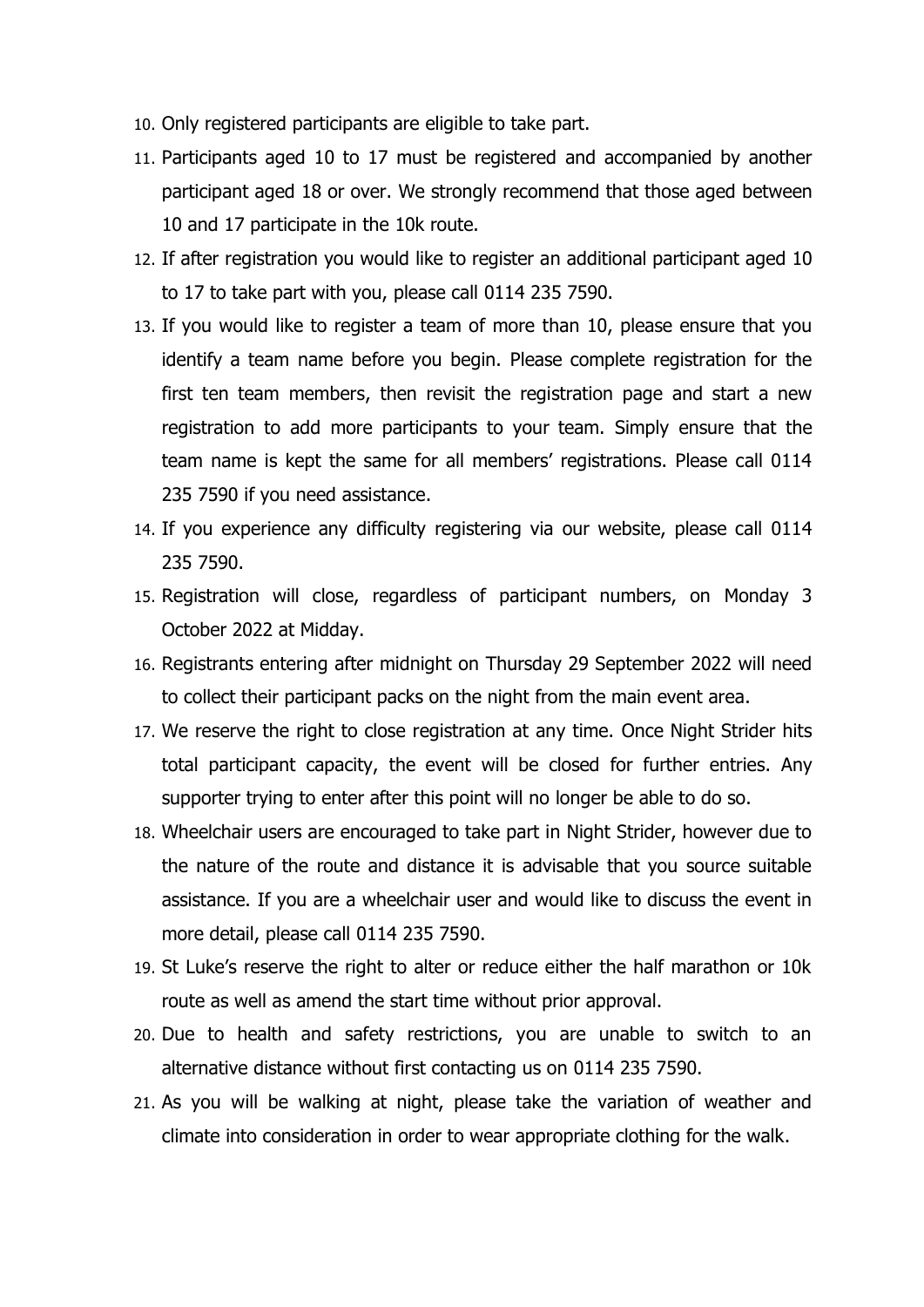- 10. Only registered participants are eligible to take part.
- 11. Participants aged 10 to 17 must be registered and accompanied by another participant aged 18 or over. We strongly recommend that those aged between 10 and 17 participate in the 10k route.
- 12. If after registration you would like to register an additional participant aged 10 to 17 to take part with you, please call 0114 235 7590.
- 13. If you would like to register a team of more than 10, please ensure that you identify a team name before you begin. Please complete registration for the first ten team members, then revisit the registration page and start a new registration to add more participants to your team. Simply ensure that the team name is kept the same for all members' registrations. Please call 0114 235 7590 if you need assistance.
- 14. If you experience any difficulty registering via our website, please call 0114 235 7590.
- 15. Registration will close, regardless of participant numbers, on Monday 3 October 2022 at Midday.
- 16. Registrants entering after midnight on Thursday 29 September 2022 will need to collect their participant packs on the night from the main event area.
- 17. We reserve the right to close registration at any time. Once Night Strider hits total participant capacity, the event will be closed for further entries. Any supporter trying to enter after this point will no longer be able to do so.
- 18. Wheelchair users are encouraged to take part in Night Strider, however due to the nature of the route and distance it is advisable that you source suitable assistance. If you are a wheelchair user and would like to discuss the event in more detail, please call 0114 235 7590.
- 19. St Luke's reserve the right to alter or reduce either the half marathon or 10k route as well as amend the start time without prior approval.
- 20. Due to health and safety restrictions, you are unable to switch to an alternative distance without first contacting us on 0114 235 7590.
- 21. As you will be walking at night, please take the variation of weather and climate into consideration in order to wear appropriate clothing for the walk.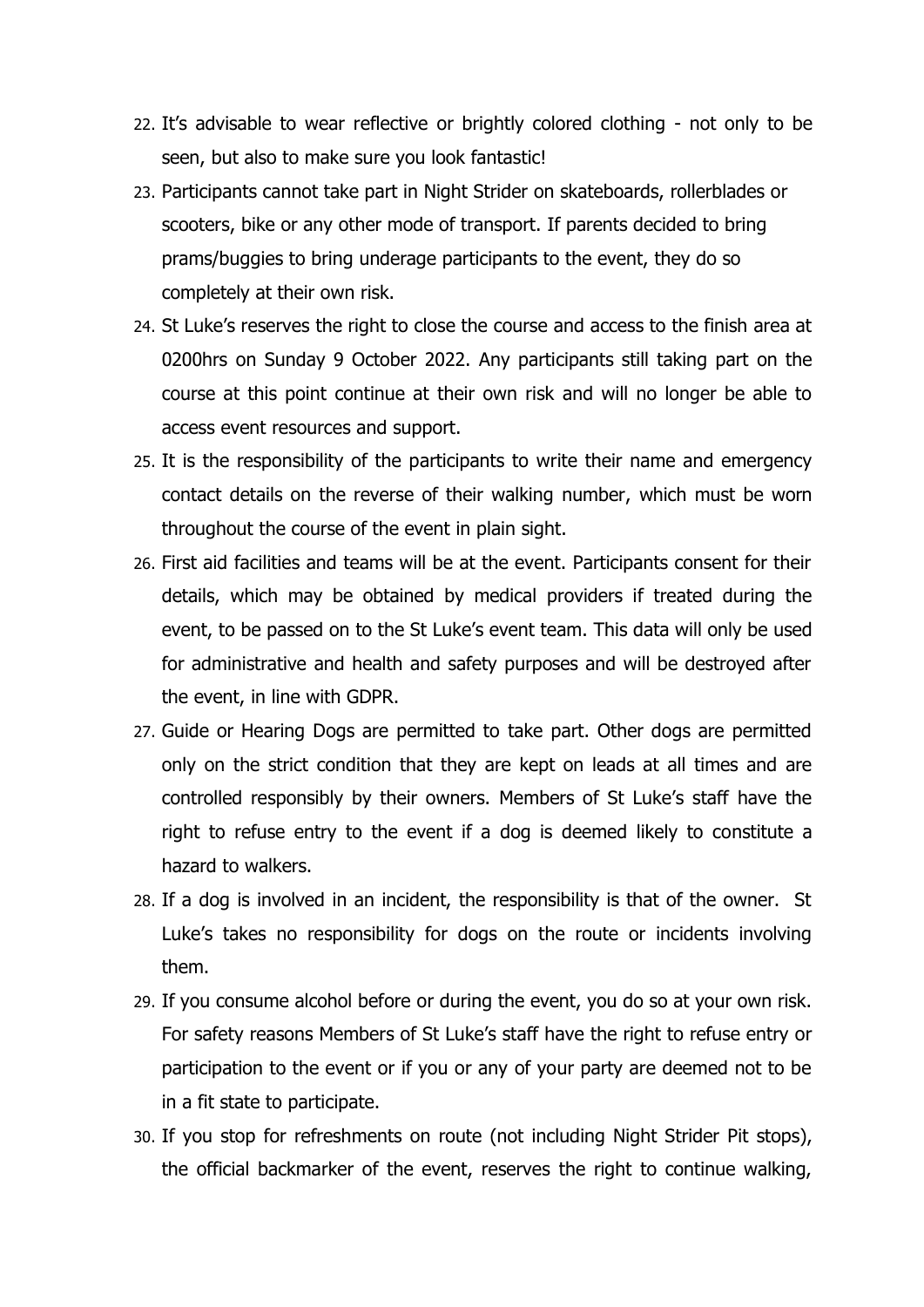- 22. It's advisable to wear reflective or brightly colored clothing not only to be seen, but also to make sure you look fantastic!
- 23. Participants cannot take part in Night Strider on skateboards, rollerblades or scooters, bike or any other mode of transport. If parents decided to bring prams/buggies to bring underage participants to the event, they do so completely at their own risk.
- 24. St Luke's reserves the right to close the course and access to the finish area at 0200hrs on Sunday 9 October 2022. Any participants still taking part on the course at this point continue at their own risk and will no longer be able to access event resources and support.
- 25. It is the responsibility of the participants to write their name and emergency contact details on the reverse of their walking number, which must be worn throughout the course of the event in plain sight.
- 26. First aid facilities and teams will be at the event. Participants consent for their details, which may be obtained by medical providers if treated during the event, to be passed on to the St Luke's event team. This data will only be used for administrative and health and safety purposes and will be destroyed after the event, in line with GDPR.
- 27. Guide or Hearing Dogs are permitted to take part. Other dogs are permitted only on the strict condition that they are kept on leads at all times and are controlled responsibly by their owners. Members of St Luke's staff have the right to refuse entry to the event if a dog is deemed likely to constitute a hazard to walkers.
- 28. If a dog is involved in an incident, the responsibility is that of the owner. St Luke's takes no responsibility for dogs on the route or incidents involving them.
- 29. If you consume alcohol before or during the event, you do so at your own risk. For safety reasons Members of St Luke's staff have the right to refuse entry or participation to the event or if you or any of your party are deemed not to be in a fit state to participate.
- 30. If you stop for refreshments on route (not including Night Strider Pit stops), the official backmarker of the event, reserves the right to continue walking,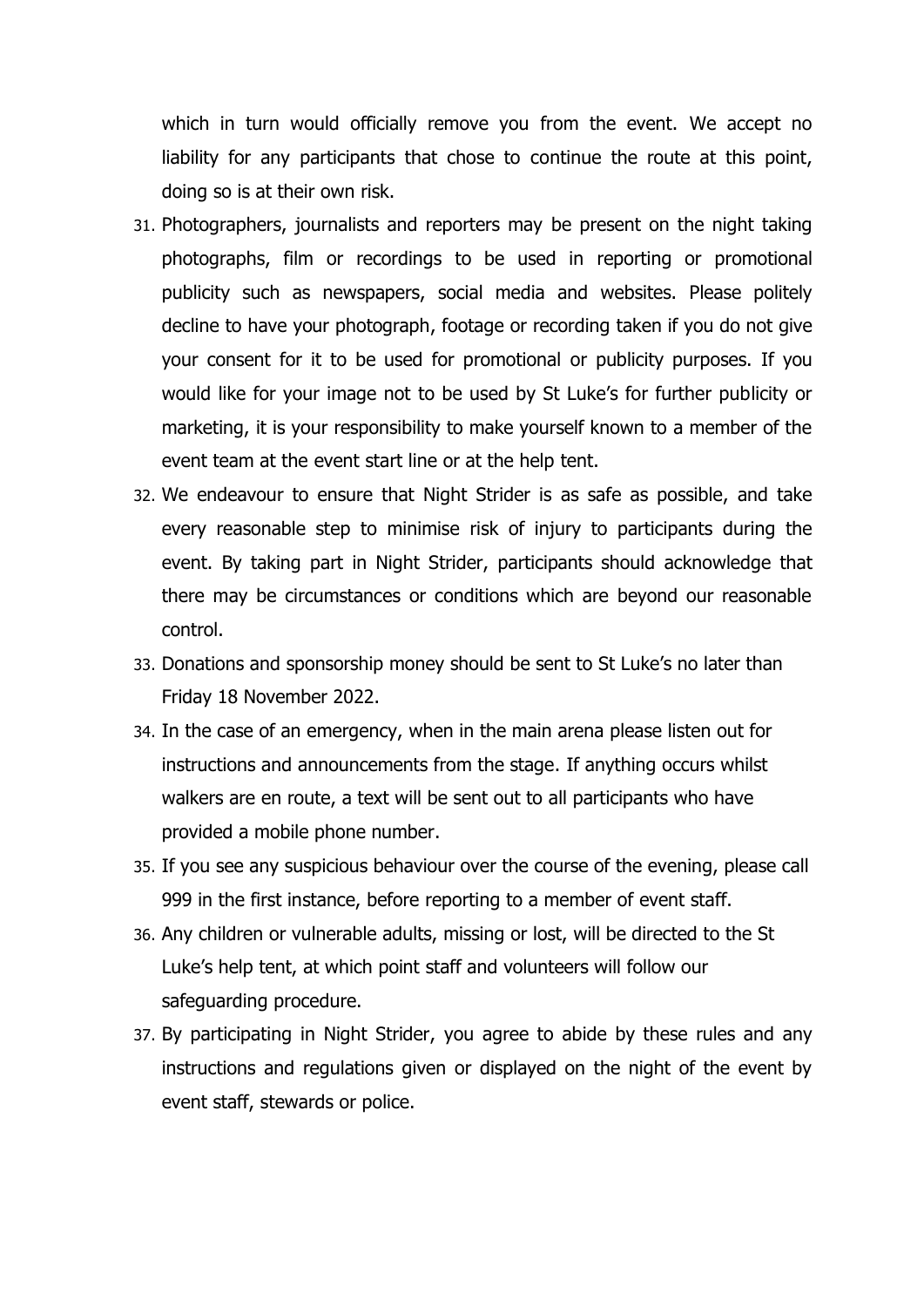which in turn would officially remove you from the event. We accept no liability for any participants that chose to continue the route at this point, doing so is at their own risk.

- 31. Photographers, journalists and reporters may be present on the night taking photographs, film or recordings to be used in reporting or promotional publicity such as newspapers, social media and websites. Please politely decline to have your photograph, footage or recording taken if you do not give your consent for it to be used for promotional or publicity purposes. If you would like for your image not to be used by St Luke's for further publicity or marketing, it is your responsibility to make yourself known to a member of the event team at the event start line or at the help tent.
- 32. We endeavour to ensure that Night Strider is as safe as possible, and take every reasonable step to minimise risk of injury to participants during the event. By taking part in Night Strider, participants should acknowledge that there may be circumstances or conditions which are beyond our reasonable control.
- 33. Donations and sponsorship money should be sent to St Luke's no later than Friday 18 November 2022.
- 34. In the case of an emergency, when in the main arena please listen out for instructions and announcements from the stage. If anything occurs whilst walkers are en route, a text will be sent out to all participants who have provided a mobile phone number.
- 35. If you see any suspicious behaviour over the course of the evening, please call 999 in the first instance, before reporting to a member of event staff.
- 36. Any children or vulnerable adults, missing or lost, will be directed to the St Luke's help tent, at which point staff and volunteers will follow our safeguarding procedure.
- 37. By participating in Night Strider, you agree to abide by these rules and any instructions and regulations given or displayed on the night of the event by event staff, stewards or police.